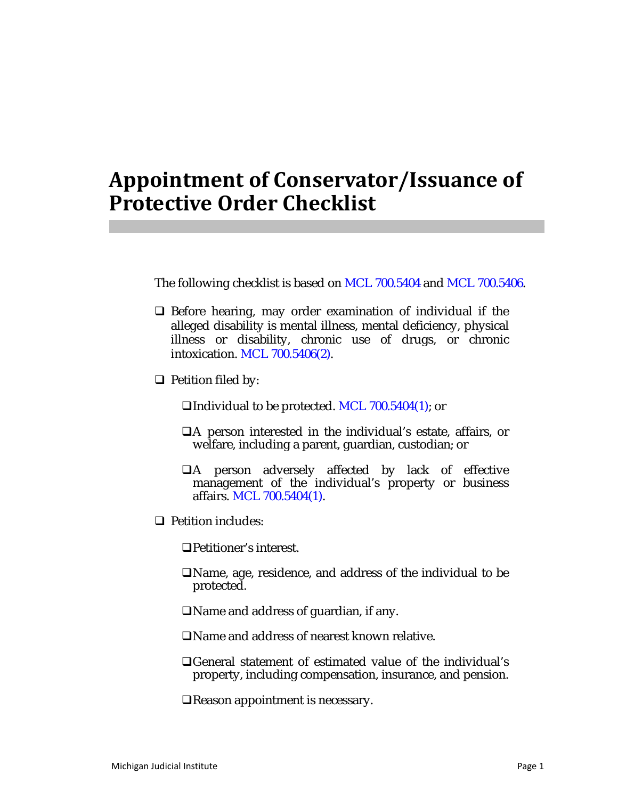## **Appointment of Conservator/Issuance of Protective Order Checklist**

The following checklist is based on MCL 700.5404 and MCL 700.5406.

- $\Box$  Before hearing, may order examination of individual if the alleged disability is mental illness, mental deficiency, physical illness or disability, chronic use of drugs, or chronic intoxication. MCL 700.5406(2).
- $\Box$  Petition filed by:

Individual to be protected. MCL 700.5404(1); or

- A person interested in the individual's estate, affairs, or welfare, including a parent, guardian, custodian; or
- A person adversely affected by lack of effective management of the individual's property or business affairs. MCL 700.5404(1).
- **Q** Petition includes:

Petitioner's interest.

Name, age, residence, and address of the individual to be protected.

Name and address of guardian, if any.

- Name and address of nearest known relative.
- General statement of estimated value of the individual's property, including compensation, insurance, and pension.

Reason appointment is necessary.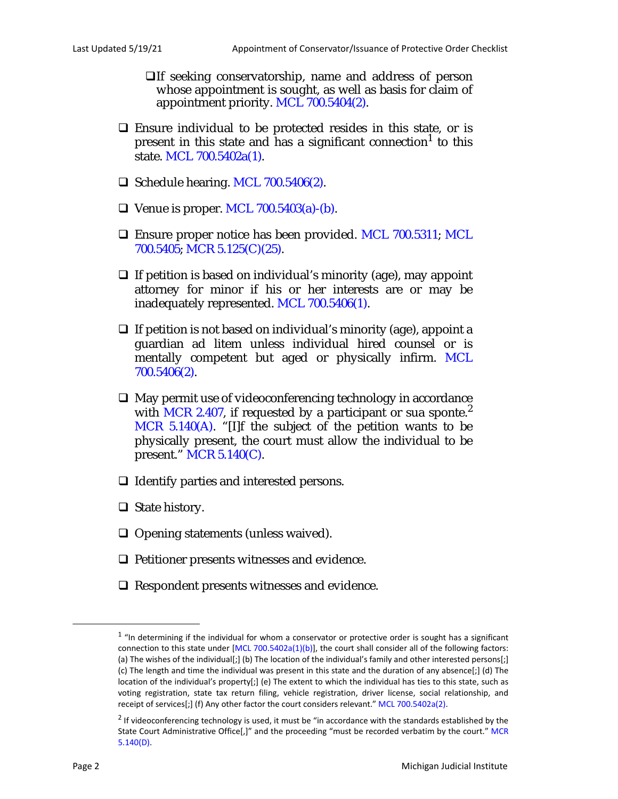If seeking conservatorship, name and address of person whose appointment is sought, as well as basis for claim of appointment priority. MCL 700.5404(2).

- Ensure individual to be protected resides in this state, or is present in this state and has a significant connection<sup>1</sup> to this state. MCL 700.5402a(1).
- $\Box$  Schedule hearing. MCL 700.5406(2).
- $\Box$  Venue is proper. MCL 700.5403(a)-(b).
- □ Ensure proper notice has been provided. MCL 700.5311; MCL 700.5405; MCR 5.125(C)(25).
- $\Box$  If petition is based on individual's minority (age), may appoint attorney for minor if his or her interests are or may be inadequately represented. MCL 700.5406(1).
- $\Box$  If petition is not based on individual's minority (age), appoint a guardian ad litem unless individual hired counsel or is mentally competent but aged or physically infirm. MCL 700.5406(2).
- $\Box$  May permit use of videoconferencing technology in accordance with MCR 2.407, if requested by a participant or sua sponte.<sup>2</sup> MCR 5.140(A). "[I]f the subject of the petition wants to be physically present, the court must allow the individual to be present." MCR 5.140(C).
- $\Box$  Identify parties and interested persons.
- $\Box$  State history.
- $\Box$  Opening statements (unless waived).
- $\Box$  Petitioner presents witnesses and evidence.
- $\Box$  Respondent presents witnesses and evidence.

 $1$  "In determining if the individual for whom a conservator or protective order is sought has a significant connection to this state under [MCL 700.5402a(1)(b)], the court shall consider all of the following factors: (a) The wishes of the individual[;] (b) The location of the individual's family and other interested persons[;] (c) The length and time the individual was present in this state and the duration of any absence[;] (d) The location of the individual's property[;] (e) The extent to which the individual has ties to this state, such as voting registration, state tax return filing, vehicle registration, driver license, social relationship, and receipt of services[;] (f) Any other factor the court considers relevant." MCL 700.5402a(2).

 $2$  If videoconferencing technology is used, it must be "in accordance with the standards established by the State Court Administrative Office[,]" and the proceeding "must be recorded verbatim by the court." MCR 5.140(D).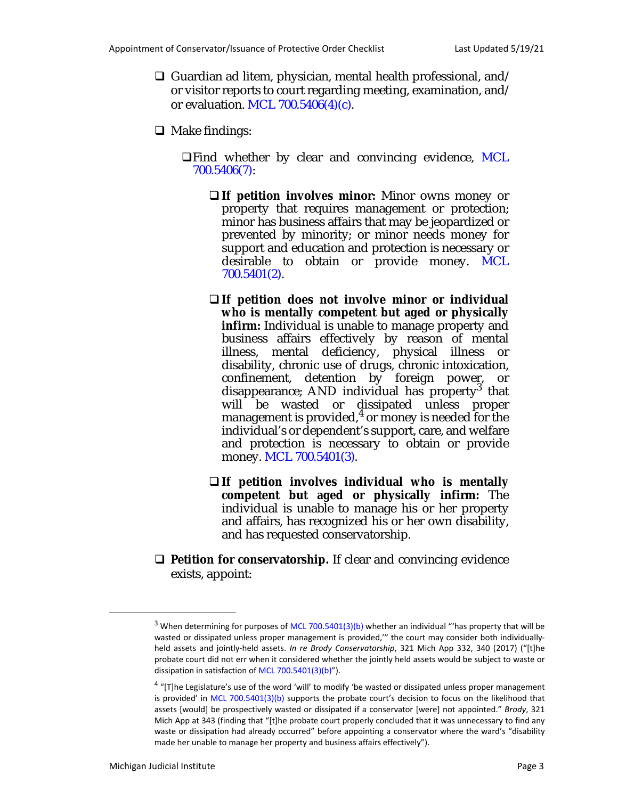- $\Box$  Guardian ad litem, physician, mental health professional, and/ or visitor reports to court regarding meeting, examination, and/ or evaluation. MCL 700.5406(4)(c).
- $\Box$  Make findings:
	- $\Box$  Find whether by clear and convincing evidence, MCL 700.5406(7):
		- **If petition involves minor:** Minor owns money or property that requires management or protection; minor has business affairs that may be jeopardized or prevented by minority; or minor needs money for support and education and protection is necessary or desirable to obtain or provide money. MCL 700.5401(2).
		- **If petition does not involve minor or individual who is mentally competent but aged or physically infirm:** Individual is unable to manage property and business affairs effectively by reason of mental illness, mental deficiency, physical illness or disability, chronic use of drugs, chronic intoxication, confinement, detention by foreign power, or disappearance; AND individual has property<sup>3</sup> that will be wasted or dissipated unless proper management is provided, $^4$  or money is needed for the individual's or dependent's support, care, and welfare and protection is necessary to obtain or provide money. MCL 700.5401(3).
		- **If petition involves individual who is mentally competent but aged or physically infirm:** The individual is unable to manage his or her property and affairs, has recognized his or her own disability, and has requested conservatorship.
- □ **Petition for conservatorship.** If clear and convincing evidence exists, appoint:

<sup>&</sup>lt;sup>3</sup> When determining for purposes of MCL 700.5401(3)(b) whether an individual "'has property that will be wasted or dissipated unless proper management is provided,'" the court may consider both individuallyheld assets and jointly-held assets. *In re Brody Conservatorship*, 321 Mich App 332, 340 (2017) ("[t]he probate court did not err when it considered whether the jointly held assets would be subject to waste or dissipation in satisfaction of MCL 700.5401(3)(b)").

 $4$  "[T]he Legislature's use of the word 'will' to modify 'be wasted or dissipated unless proper management is provided' in MCL 700.5401(3)(b) supports the probate court's decision to focus on the likelihood that assets [would] be prospectively wasted or dissipated if a conservator [were] not appointed." *Brody*, 321 Mich App at 343 (finding that "[t]he probate court properly concluded that it was unnecessary to find any waste or dissipation had already occurred" before appointing a conservator where the ward's "disability made her unable to manage her property and business affairs effectively").